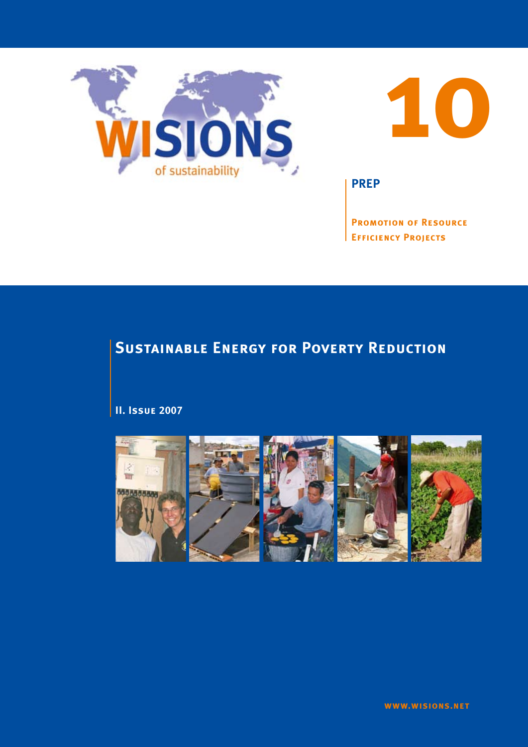



**PREP**

**Promotion of Resource Efficiency Projects**

# **SUSTAINABLE ENERGY FOR POVERTY REDUCTION**

**II. Issue 2007**

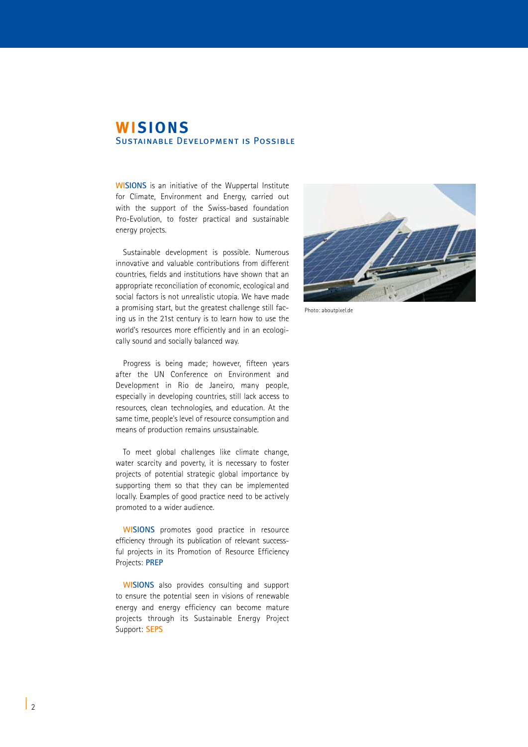# **WISIONS** Sustainable Development is Possible

**WISIONS** is an initiative of the Wuppertal Institute for Climate, Environment and Energy, carried out with the support of the Swiss-based foundation Pro-Evolution, to foster practical and sustainable energy projects.

Sustainable development is possible. Numerous innovative and valuable contributions from different countries, fields and institutions have shown that an appropriate reconciliation of economic, ecological and social factors is not unrealistic utopia. We have made a promising start, but the greatest challenge still facing us in the 21st century is to learn how to use the world's resources more efficiently and in an ecologically sound and socially balanced way.

Progress is being made; however, fifteen years after the UN Conference on Environment and Development in Rio de Janeiro, many people, especially in developing countries, still lack access to resources, clean technologies, and education. At the same time, people's level of resource consumption and means of production remains unsustainable.

To meet global challenges like climate change, water scarcity and poverty, it is necessary to foster projects of potential strategic global importance by supporting them so that they can be implemented locally. Examples of good practice need to be actively promoted to a wider audience.

**WISIONS** promotes good practice in resource efficiency through its publication of relevant successful projects in its Promotion of Resource Efficiency Projects: **PREP**

**WISIONS** also provides consulting and support to ensure the potential seen in visions of renewable energy and energy efficiency can become mature projects through its Sustainable Energy Project Support: **SEPS**



Photo: aboutpixel.de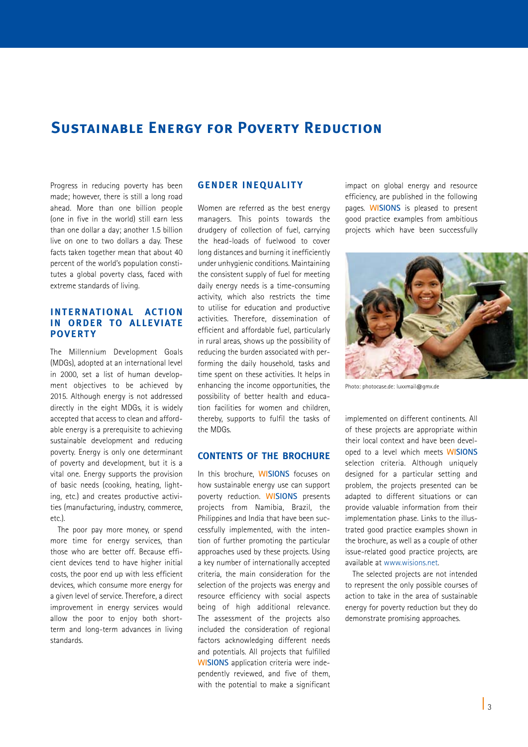# **SUSTAINABLE ENERGY FOR POVERTY REDUCTION**

Progress in reducing poverty has been made; however, there is still a long road ahead. More than one billion people (one in five in the world) still earn less than one dollar a day; another 1.5 billion live on one to two dollars a day. These facts taken together mean that about 40 percent of the world's population constitutes a global poverty class, faced with extreme standards of living.

# **INTERNATIONAL ACTION in order to alleviate povert y**

The Millennium Development Goals (MDGs), adopted at an international level in 2000, set a list of human development objectives to be achieved by 2015. Although energy is not addressed directly in the eight MDGs, it is widely accepted that access to clean and affordable energy is a prerequisite to achieving sustainable development and reducing poverty. Energy is only one determinant of poverty and development, but it is a vital one. Energy supports the provision of basic needs (cooking, heating, lighting, etc.) and creates productive activities (manufacturing, industry, commerce, etc.).

The poor pay more money, or spend more time for energy services, than those who are better off. Because efficient devices tend to have higher initial costs, the poor end up with less efficient devices, which consume more energy for a given level of service. Therefore, a direct improvement in energy services would allow the poor to enjoy both shortterm and long-term advances in living standards.

## **Gender inequalit y**

Women are referred as the best energy managers. This points towards the drudgery of collection of fuel, carrying the head-loads of fuelwood to cover long distances and burning it inefficiently under unhygienic conditions. Maintaining the consistent supply of fuel for meeting daily energy needs is a time-consuming activity, which also restricts the time to utilise for education and productive activities. Therefore, dissemination of efficient and affordable fuel, particularly in rural areas, shows up the possibility of reducing the burden associated with performing the daily household, tasks and time spent on these activities. It helps in enhancing the income opportunities, the possibility of better health and education facilities for women and children, thereby, supports to fulfil the tasks of the MDGs.

## **Contents of the brochure**

In this brochure, **WISIONS** focuses on how sustainable energy use can support poverty reduction. **WISIONS** presents projects from Namibia, Brazil, the Philippines and India that have been successfully implemented, with the intention of further promoting the particular approaches used by these projects. Using a key number of internationally accepted criteria, the main consideration for the selection of the projects was energy and resource efficiency with social aspects being of high additional relevance. The assessment of the projects also included the consideration of regional factors acknowledging different needs and potentials. All projects that fulfilled **WISIONS** application criteria were independently reviewed, and five of them, with the potential to make a significant

impact on global energy and resource efficiency, are published in the following pages. **WISIONS** is pleased to present good practice examples from ambitious projects which have been successfully



Photo: photocase.de: luxxmail@gmx.de

implemented on different continents. All of these projects are appropriate within their local context and have been developed to a level which meets **WISIONS** selection criteria. Although uniquely designed for a particular setting and problem, the projects presented can be adapted to different situations or can provide valuable information from their implementation phase. Links to the illustrated good practice examples shown in the brochure, as well as a couple of other issue-related good practice projects, are available at www.wisions.net.

The selected projects are not intended to represent the only possible courses of action to take in the area of sustainable energy for poverty reduction but they do demonstrate promising approaches.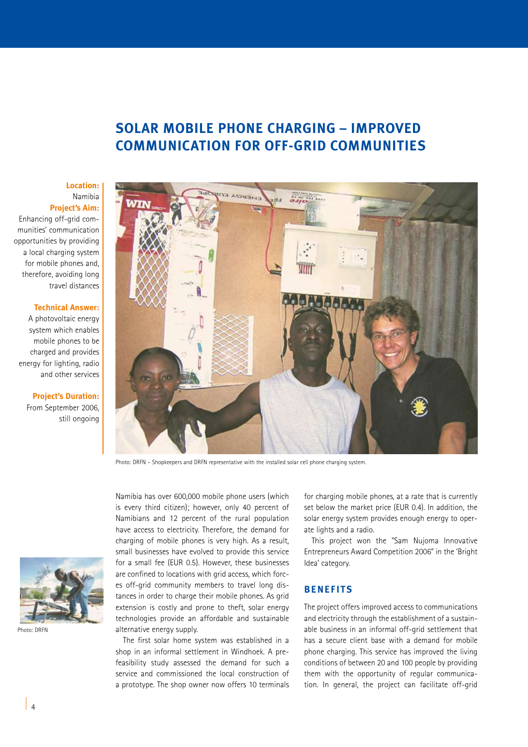# **SOLAR MOBILE PHONE CHARGING – IMPROVED COMMUNICATION FOR OFF-GRID COMMUNITIES**

## **Location:**  Namibia

**Project's Aim:** 

Enhancing off-grid communities' communication opportunities by providing a local charging system for mobile phones and, therefore, avoiding long travel distances

### **Technical Answer:**

A photovoltaic energy system which enables mobile phones to be charged and provides energy for lighting, radio and other services

> **Project's Duration:** From September 2006, still ongoing



Photo: DRFN – Shopkeepers and DRFN representative with the installed solar cell phone charging system.



Photo: DRFN

Namibia has over 600,000 mobile phone users (which is every third citizen); however, only 40 percent of Namibians and 12 percent of the rural population have access to electricity. Therefore, the demand for charging of mobile phones is very high. As a result, small businesses have evolved to provide this service for a small fee (EUR 0.5). However, these businesses are confined to locations with grid access, which forces off-grid community members to travel long distances in order to charge their mobile phones. As grid extension is costly and prone to theft, solar energy technologies provide an affordable and sustainable alternative energy supply.

The first solar home system was established in a shop in an informal settlement in Windhoek. A prefeasibility study assessed the demand for such a service and commissioned the local construction of a prototype. The shop owner now offers 10 terminals

for charging mobile phones, at a rate that is currently set below the market price (EUR 0.4). In addition, the solar energy system provides enough energy to operate lights and a radio.

This project won the "Sam Nujoma Innovative Entrepreneurs Award Competition 2006" in the 'Bright Idea' category.

# **BENEFITS**

The project offers improved access to communications and electricity through the establishment of a sustainable business in an informal off-grid settlement that has a secure client base with a demand for mobile phone charging. This service has improved the living conditions of between 20 and 100 people by providing them with the opportunity of regular communication. In general, the project can facilitate off-grid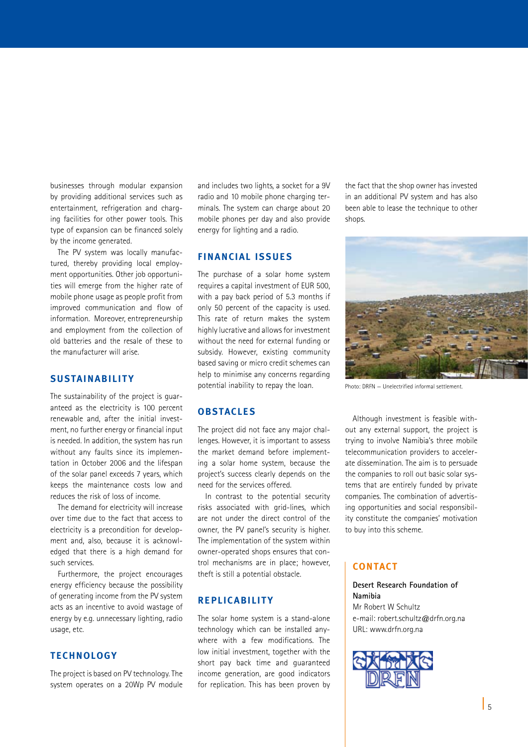businesses through modular expansion by providing additional services such as entertainment, refrigeration and charging facilities for other power tools. This type of expansion can be financed solely by the income generated.

The PV system was locally manufactured, thereby providing local employment opportunities. Other job opportunities will emerge from the higher rate of mobile phone usage as people profit from improved communication and flow of information. Moreover, entrepreneurship and employment from the collection of old batteries and the resale of these to the manufacturer will arise.

# **SUSTAINABILITY**

The sustainability of the project is guaranteed as the electricity is 100 percent renewable and, after the initial investment, no further energy or financial input is needed. In addition, the system has run without any faults since its implementation in October 2006 and the lifespan of the solar panel exceeds 7 years, which keeps the maintenance costs low and reduces the risk of loss of income.

The demand for electricity will increase over time due to the fact that access to electricity is a precondition for development and, also, because it is acknowledged that there is a high demand for such services.

Furthermore, the project encourages energy efficiency because the possibility of generating income from the PV system acts as an incentive to avoid wastage of energy by e.g. unnecessary lighting, radio usage, etc.

# **TECHNOLOGY**

The project is based on PV technology. The system operates on a 20Wp PV module and includes two lights, a socket for a 9V radio and 10 mobile phone charging terminals. The system can charge about 20 mobile phones per day and also provide energy for lighting and a radio.

## **FINANCIAL ISSUE S**

The purchase of a solar home system requires a capital investment of EUR 500, with a pay back period of 5.3 months if only 50 percent of the capacity is used. This rate of return makes the system highly lucrative and allows for investment without the need for external funding or subsidy. However, existing community based saving or micro credit schemes can help to minimise any concerns regarding potential inability to repay the loan.

# **OBSTACLE S**

The project did not face any major challenges. However, it is important to assess the market demand before implementing a solar home system, because the project's success clearly depends on the need for the services offered.

In contrast to the potential security risks associated with grid-lines, which are not under the direct control of the owner, the PV panel's security is higher. The implementation of the system within owner-operated shops ensures that control mechanisms are in place; however, theft is still a potential obstacle.

# **REPLICABILITY**

The solar home system is a stand-alone technology which can be installed anywhere with a few modifications. The low initial investment, together with the short pay back time and guaranteed income generation, are good indicators for replication. This has been proven by

the fact that the shop owner has invested in an additional PV system and has also been able to lease the technique to other shops.



Photo: DRFN — Unelectrified informal settlement.

Although investment is feasible without any external support, the project is trying to involve Namibia's three mobile telecommunication providers to accelerate dissemination. The aim is to persuade the companies to roll out basic solar systems that are entirely funded by private companies. The combination of advertising opportunities and social responsibility constitute the companies' motivation to buy into this scheme.

### **CONTACT**

### **Desert Research Foundation of Namibia**

Mr Robert W Schultz e-mail: robert.schultz@drfn.org.na URL: www.drfn.org.na

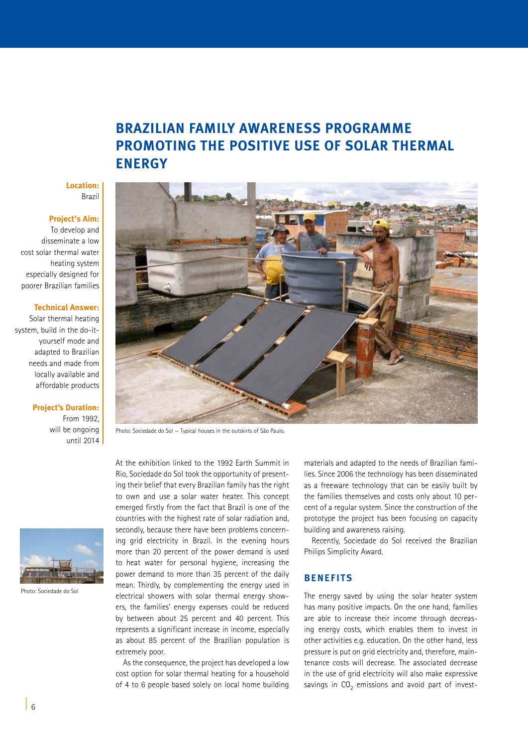# **BRAZILIAN FAMILY AWARENESS PROGRAMME PROMOTING THE POSITIVE USE OF SOLAR THERMAL ENERGY**

### **Location:** Brazil

# **Project's Aim:**

To develop and disseminate a low cost solar thermal water heating system especially designed for poorer Brazilian families

### **Technical Answer:**

Solar thermal heating system, build in the do-ityourself mode and adapted to Brazilian needs and made from locally available and affordable products

### **Project's Duration:**

From 1992, will be ongoing until 2014



Photo: Sociedade do Sol



Photo: Sociedade do Sol — Typical houses in the outskirts of São Paulo.

At the exhibition linked to the 1992 Earth Summit in Rio, Sociedade do Sol took the opportunity of presenting their belief that every Brazilian family has the right to own and use a solar water heater. This concept emerged firstly from the fact that Brazil is one of the countries with the highest rate of solar radiation and, secondly, because there have been problems concerning grid electricity in Brazil. In the evening hours more than 20 percent of the power demand is used to heat water for personal hygiene, increasing the power demand to more than 35 percent of the daily mean. Thirdly, by complementing the energy used in electrical showers with solar thermal energy showers, the families' energy expenses could be reduced by between about 25 percent and 40 percent. This represents a significant increase in income, especially as about 85 percent of the Brazilian population is extremely poor.

As the consequence, the project has developed a low cost option for solar thermal heating for a household of 4 to 6 people based solely on local home building

materials and adapted to the needs of Brazilian families. Since 2006 the technology has been disseminated as a freeware technology that can be easily built by the families themselves and costs only about 10 percent of a regular system. Since the construction of the prototype the project has been focusing on capacity building and awareness raising.

Recently, Sociedade do Sol received the Brazilian Philips Simplicity Award.

# **BENEFITS**

The energy saved by using the solar heater system has many positive impacts. On the one hand, families are able to increase their income through decreasing energy costs, which enables them to invest in other activities e.g. education. On the other hand, less pressure is put on grid electricity and, therefore, maintenance costs will decrease. The associated decrease in the use of grid electricity will also make expressive savings in  $CO<sub>2</sub>$  emissions and avoid part of invest-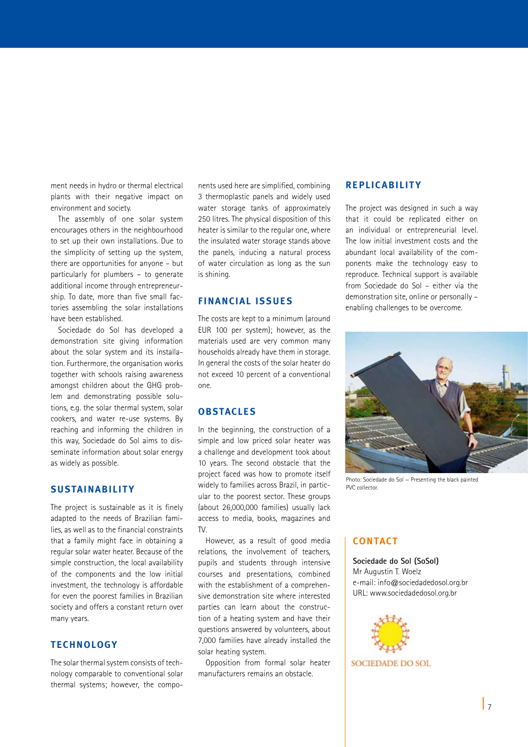ment needs in hydro or thermal electrical plants with their negative impact on environment and society.

The assembly of one solar system encourages others in the neighbourhood to set up their own installations. Due to the simplicity of setting up the system, there are opportunities for anyone – but particularly for plumbers – to generate additional income through entrepreneurship. To date, more than five small factories assembling the solar installations have been established.

Sociedade do Sol has developed a demonstration site giving information about the solar system and its installation. Furthermore, the organisation works together with schools raising awareness amongst children about the GHG problem and demonstrating possible solutions, e.g. the solar thermal system, solar cookers, and water re-use systems. By reaching and informing the children in this way, Sociedade do Sol aims to disseminate information about solar energy as widely as possible.

# **SUSTAINABILITY**

The project is sustainable as it is finely adapted to the needs of Brazilian families, as well as to the financial constraints that a family might face in obtaining a regular solar water heater. Because of the simple construction, the local availability of the components and the low initial investment, the technology is affordable for even the poorest families in Brazilian society and offers a constant return over many years.

# **TECHNOLOGY**

The solar thermal system consists of technology comparable to conventional solar thermal systems; however, the compo-

nents used here are simplified, combining 3 thermoplastic panels and widely used water storage tanks of approximately 250 litres. The physical disposition of this heater is similar to the regular one, where the insulated water storage stands above the panels, inducing a natural process of water circulation as long as the sun is shining.

# **FINANCIAL ISSUE S**

The costs are kept to a minimum (around EUR 100 per system); however, as the materials used are very common many households already have them in storage. In general the costs of the solar heater do not exceed 10 percent of a conventional one.

# **OBSTACLE S**

In the beginning, the construction of a simple and low priced solar heater was a challenge and development took about 10 years. The second obstacle that the project faced was how to promote itself widely to families across Brazil, in particular to the poorest sector. These groups (about 26,000,000 families) usually lack access to media, books, magazines and  $T_{\rm M}$ 

However, as a result of good media relations, the involvement of teachers, pupils and students through intensive courses and presentations, combined with the establishment of a comprehensive demonstration site where interested parties can learn about the construction of a heating system and have their questions answered by volunteers, about 7,000 families have already installed the solar heating system.

Opposition from formal solar heater manufacturers remains an obstacle.

# **REPLICABILITY**

The project was designed in such a way that it could be replicated either on an individual or entrepreneurial level. The low initial investment costs and the abundant local availability of the components make the technology easy to reproduce. Technical support is available from Sociedade do Sol – either via the demonstration site, online or personally – enabling challenges to be overcome.



Photo: Sociedade do Sol — Presenting the black painted PVC collector.

# **CONTACT**

**Sociedade do Sol (SoSol)** Mr Augustin T. Woelz e-mail: info@sociedadedosol.org.br URL: www.sociedadedosol.org.br



**SOCIEDADE DO SOL**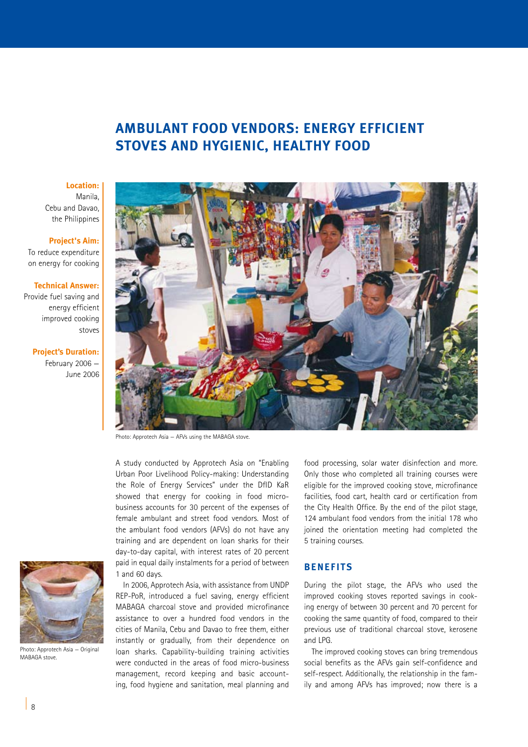# **AMBULANT FOOD VENDORS: ENERGY EFFICIENT STOVES AND HYGIENIC, HEALTHY FOOD**

#### **Location:**

Manila, Cebu and Davao, the Philippines

#### **Project's Aim:**

To reduce expenditure on energy for cooking

### **Technical Answer:**

Provide fuel saving and energy efficient improved cooking stoves

### **Project's Duration:**

February 2006 — June 2006



Photo: Approtech Asia — AFVs using the MABAGA stove.

A study conducted by Approtech Asia on "Enabling Urban Poor Livelihood Policy-making: Understanding the Role of Energy Services" under the DfID KaR showed that energy for cooking in food microbusiness accounts for 30 percent of the expenses of female ambulant and street food vendors. Most of the ambulant food vendors (AFVs) do not have any training and are dependent on loan sharks for their day-to-day capital, with interest rates of 20 percent paid in equal daily instalments for a period of between 1 and 60 days.

In 2006, Approtech Asia, with assistance from UNDP REP-PoR, introduced a fuel saving, energy efficient MABAGA charcoal stove and provided microfinance assistance to over a hundred food vendors in the cities of Manila, Cebu and Davao to free them, either instantly or gradually, from their dependence on loan sharks. Capability-building training activities were conducted in the areas of food micro-business management, record keeping and basic accounting, food hygiene and sanitation, meal planning and

![](_page_7_Picture_12.jpeg)

Photo: Approtech Asia — Original MARAGA stove

food processing, solar water disinfection and more. Only those who completed all training courses were eligible for the improved cooking stove, microfinance facilities, food cart, health card or certification from the City Health Office. By the end of the pilot stage, 124 ambulant food vendors from the initial 178 who joined the orientation meeting had completed the 5 training courses.

### **BENEFITS**

During the pilot stage, the AFVs who used the improved cooking stoves reported savings in cooking energy of between 30 percent and 70 percent for cooking the same quantity of food, compared to their previous use of traditional charcoal stove, kerosene and LPG.

The improved cooking stoves can bring tremendous social benefits as the AFVs gain self-confidence and self-respect. Additionally, the relationship in the family and among AFVs has improved; now there is a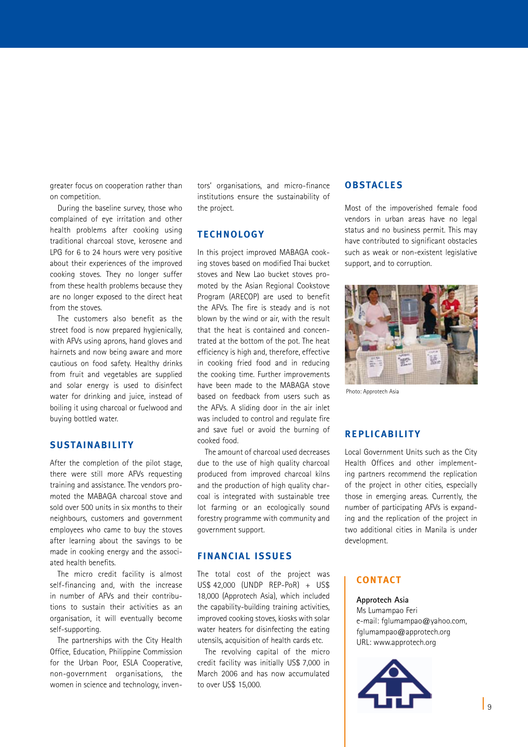greater focus on cooperation rather than on competition.

During the baseline survey, those who complained of eye irritation and other health problems after cooking using traditional charcoal stove, kerosene and LPG for 6 to 24 hours were very positive about their experiences of the improved cooking stoves. They no longer suffer from these health problems because they are no longer exposed to the direct heat from the stoves.

The customers also benefit as the street food is now prepared hygienically, with AFVs using aprons, hand gloves and hairnets and now being aware and more cautious on food safety. Healthy drinks from fruit and vegetables are supplied and solar energy is used to disinfect water for drinking and juice, instead of boiling it using charcoal or fuelwood and buying bottled water.

### **SUSTAINABILITY**

After the completion of the pilot stage, there were still more AFVs requesting training and assistance. The vendors promoted the MABAGA charcoal stove and sold over 500 units in six months to their neighbours, customers and government employees who came to buy the stoves after learning about the savings to be made in cooking energy and the associated health benefits.

The micro credit facility is almost self-financing and, with the increase in number of AFVs and their contributions to sustain their activities as an organisation, it will eventually become self-supporting.

The partnerships with the City Health Office, Education, Philippine Commission for the Urban Poor, ESLA Cooperative, non-government organisations, the women in science and technology, inventors' organisations, and micro-finance institutions ensure the sustainability of the project.

### **TECHNOLOGY**

In this project improved MABAGA cooking stoves based on modified Thai bucket stoves and New Lao bucket stoves promoted by the Asian Regional Cookstove Program (ARECOP) are used to benefit the AFVs. The fire is steady and is not blown by the wind or air, with the result that the heat is contained and concentrated at the bottom of the pot. The heat efficiency is high and, therefore, effective in cooking fried food and in reducing the cooking time. Further improvements have been made to the MABAGA stove based on feedback from users such as the AFVs. A sliding door in the air inlet was included to control and regulate fire and save fuel or avoid the burning of cooked food.

The amount of charcoal used decreases due to the use of high quality charcoal produced from improved charcoal kilns and the production of high quality charcoal is integrated with sustainable tree lot farming or an ecologically sound forestry programme with community and government support.

### **FINANCIAL ISSUE S**

The total cost of the project was US\$ 42,000 (UNDP REP-PoR) + US\$ 18,000 (Approtech Asia), which included the capability-building training activities, improved cooking stoves, kiosks with solar water heaters for disinfecting the eating utensils, acquisition of health cards etc.

The revolving capital of the micro credit facility was initially US\$ 7,000 in March 2006 and has now accumulated to over US\$ 15,000.

### **OBSTACLE S**

Most of the impoverished female food vendors in urban areas have no legal status and no business permit. This may have contributed to significant obstacles such as weak or non-existent legislative support, and to corruption.

![](_page_8_Picture_16.jpeg)

Photo: Approtech Asia

# **REPLICABILITY**

Local Government Units such as the City Health Offices and other implementing partners recommend the replication of the project in other cities, especially those in emerging areas. Currently, the number of participating AFVs is expanding and the replication of the project in two additional cities in Manila is under development.

# **CONTACT**

#### **Approtech Asia**

Ms Lumampao Feri e-mail: fglumampao@yahoo.com, fglumampao@approtech.org URL: www.approtech.org

![](_page_8_Picture_23.jpeg)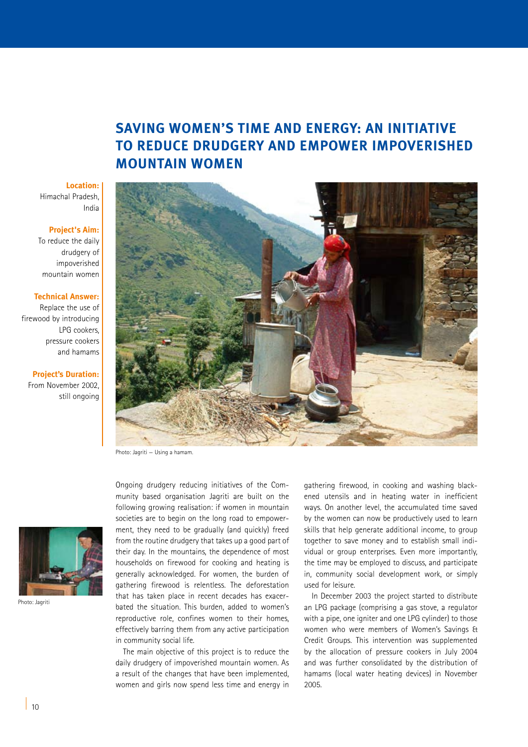# **SAVING WOMEN'S TIME AND ENERGY: AN INITIATIVE TO REDUCE DRUDGERY AND EMPOWER IMPOVERISHED MOUNTAIN WOMEN**

# **Location:**

Himachal Pradesh, India

### **Project's Aim:**

To reduce the daily drudgery of impoverished mountain women

### **Technical Answer:**

Replace the use of firewood by introducing LPG cookers, pressure cookers and hamams

### **Project's Duration:**  From November 2002, still ongoing

![](_page_9_Picture_8.jpeg)

Photo: Jagriti — Using a hamam.

![](_page_9_Picture_10.jpeg)

Photo: Jagriti

Ongoing drudgery reducing initiatives of the Community based organisation Jagriti are built on the following growing realisation: if women in mountain societies are to begin on the long road to empowerment, they need to be gradually (and quickly) freed from the routine drudgery that takes up a good part of their day. In the mountains, the dependence of most households on firewood for cooking and heating is generally acknowledged. For women, the burden of gathering firewood is relentless. The deforestation that has taken place in recent decades has exacerbated the situation. This burden, added to women's reproductive role, confines women to their homes, effectively barring them from any active participation in community social life.

The main objective of this project is to reduce the daily drudgery of impoverished mountain women. As a result of the changes that have been implemented, women and girls now spend less time and energy in

gathering firewood, in cooking and washing blackened utensils and in heating water in inefficient ways. On another level, the accumulated time saved by the women can now be productively used to learn skills that help generate additional income, to group together to save money and to establish small individual or group enterprises. Even more importantly, the time may be employed to discuss, and participate in, community social development work, or simply used for leisure.

In December 2003 the project started to distribute an LPG package (comprising a gas stove, a regulator with a pipe, one igniter and one LPG cylinder) to those women who were members of Women's Savings & Credit Groups. This intervention was supplemented by the allocation of pressure cookers in July 2004 and was further consolidated by the distribution of hamams (local water heating devices) in November 2005.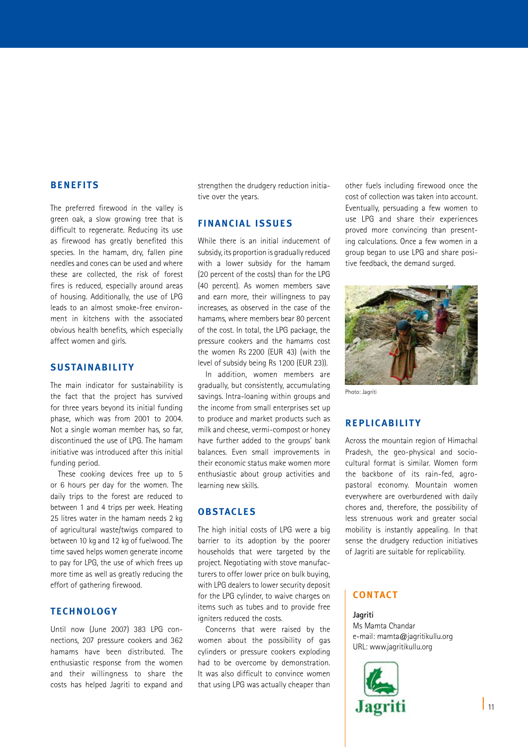### **BENEFITS**

The preferred firewood in the valley is green oak, a slow growing tree that is difficult to regenerate. Reducing its use as firewood has greatly benefited this species. In the hamam, dry, fallen pine needles and cones can be used and where these are collected, the risk of forest fires is reduced, especially around areas of housing. Additionally, the use of LPG leads to an almost smoke-free environment in kitchens with the associated obvious health benefits, which especially affect women and girls.

### **SUSTAINABILITY**

The main indicator for sustainability is the fact that the project has survived for three years beyond its initial funding phase, which was from 2001 to 2004. Not a single woman member has, so far, discontinued the use of LPG. The hamam initiative was introduced after this initial funding period.

These cooking devices free up to 5 or 6 hours per day for the women. The daily trips to the forest are reduced to between 1 and 4 trips per week. Heating 25 litres water in the hamam needs 2 kg of agricultural waste/twigs compared to between 10 kg and 12 kg of fuelwood. The time saved helps women generate income to pay for LPG, the use of which frees up more time as well as greatly reducing the effort of gathering firewood.

# **TECHNOLOGY**

Until now (June 2007) 383 LPG connections, 207 pressure cookers and 362 hamams have been distributed. The enthusiastic response from the women and their willingness to share the costs has helped Jagriti to expand and strengthen the drudgery reduction initiative over the years.

# **FINANCIAL ISSUE S**

While there is an initial inducement of subsidy, its proportion is gradually reduced with a lower subsidy for the hamam (20 percent of the costs) than for the LPG (40 percent). As women members save and earn more, their willingness to pay increases, as observed in the case of the hamams, where members bear 80 percent of the cost. In total, the LPG package, the pressure cookers and the hamams cost the women Rs 2200 (EUR 43) (with the level of subsidy being Rs 1200 (EUR 23)).

In addition, women members are gradually, but consistently, accumulating savings. Intra-loaning within groups and the income from small enterprises set up to produce and market products such as milk and cheese, vermi-compost or honey have further added to the groups' bank balances. Even small improvements in their economic status make women more enthusiastic about group activities and learning new skills.

### **OBSTACLE S**

The high initial costs of LPG were a big barrier to its adoption by the poorer households that were targeted by the project. Negotiating with stove manufacturers to offer lower price on bulk buying, with LPG dealers to lower security deposit for the LPG cylinder, to waive charges on items such as tubes and to provide free igniters reduced the costs.

Concerns that were raised by the women about the possibility of gas cylinders or pressure cookers exploding had to be overcome by demonstration. It was also difficult to convince women that using LPG was actually cheaper than

other fuels including firewood once the cost of collection was taken into account. Eventually, persuading a few women to use LPG and share their experiences proved more convincing than presenting calculations. Once a few women in a group began to use LPG and share positive feedback, the demand surged.

![](_page_10_Picture_15.jpeg)

Photo: Jagriti

### **REPLICABILITY**

Across the mountain region of Himachal Pradesh, the geo-physical and sociocultural format is similar. Women form the backbone of its rain-fed, agropastoral economy. Mountain women everywhere are overburdened with daily chores and, therefore, the possibility of less strenuous work and greater social mobility is instantly appealing. In that sense the drudgery reduction initiatives of Jagriti are suitable for replicability.

### **CONTACT**

### **Jagriti**

Ms Mamta Chandar e-mail: mamta@jagritikullu.org URL: www.jagritikullu.org

![](_page_10_Picture_22.jpeg)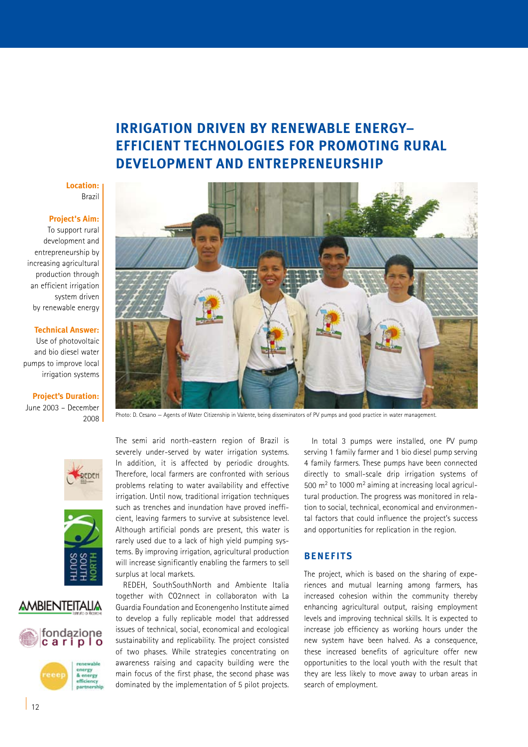# **IRRIGATION DRIVEN BY RENEWABLE ENERGY– EFFICIENT TECHNOLOGIES FOR PROMOTING RURAL DEVELOPMENT AND ENTREPRENEURSHIP**

### **Location:** Brazil

# **Project's Aim:**

To support rural development and entrepreneurship by increasing agricultural production through an efficient irrigation system driven by renewable energy

### **Technical Answer:**

Use of photovoltaic and bio diesel water pumps to improve local irrigation systems

**Project's Duration:**  June 2003 – December 2008

![](_page_11_Picture_7.jpeg)

Photo: D. Cesano — Agents of Water Citizenship in Valente, being disseminators of PV pumps and good practice in water management.

![](_page_11_Picture_9.jpeg)

![](_page_11_Picture_10.jpeg)

# **AMBIENTEITALIA**

![](_page_11_Picture_12.jpeg)

The semi arid north-eastern region of Brazil is severely under-served by water irrigation systems. In addition, it is affected by periodic droughts. Therefore, local farmers are confronted with serious problems relating to water availability and effective irrigation. Until now, traditional irrigation techniques such as trenches and inundation have proved inefficient, leaving farmers to survive at subsistence level. Although artificial ponds are present, this water is rarely used due to a lack of high yield pumping systems. By improving irrigation, agricultural production will increase significantly enabling the farmers to sell surplus at local markets.

REDEH, SouthSouthNorth and Ambiente Italia together with CO2nnect in collaboraton with La Guardia Foundation and Econengenho Institute aimed to develop a fully replicable model that addressed issues of technical, social, economical and ecological sustainability and replicability. The project consisted of two phases. While strategies concentrating on awareness raising and capacity building were the main focus of the first phase, the second phase was dominated by the implementation of 5 pilot projects.

In total 3 pumps were installed, one PV pump serving 1 family farmer and 1 bio diesel pump serving 4 family farmers. These pumps have been connected directly to small-scale drip irrigation systems of 500  $m<sup>2</sup>$  to 1000  $m<sup>2</sup>$  aiming at increasing local agricultural production. The progress was monitored in relation to social, technical, economical and environmental factors that could influence the project's success and opportunities for replication in the region.

### **BENEFITS**

The project, which is based on the sharing of experiences and mutual learning among farmers, has increased cohesion within the community thereby enhancing agricultural output, raising employment levels and improving technical skills. It is expected to increase job efficiency as working hours under the new system have been halved. As a consequence, these increased benefits of agriculture offer new opportunities to the local youth with the result that they are less likely to move away to urban areas in search of employment.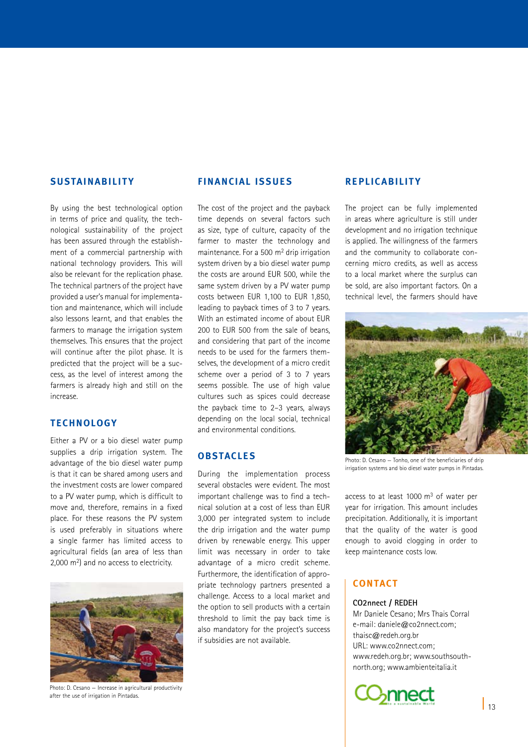# **SUSTAINABILITY**

By using the best technological option in terms of price and quality, the technological sustainability of the project has been assured through the establishment of a commercial partnership with national technology providers. This will also be relevant for the replication phase. The technical partners of the project have provided a user's manual for implementation and maintenance, which will include also lessons learnt, and that enables the farmers to manage the irrigation system themselves. This ensures that the project will continue after the pilot phase. It is predicted that the project will be a success, as the level of interest among the farmers is already high and still on the increase.

# **TECHNOLOGY**

Either a PV or a bio diesel water pump supplies a drip irrigation system. The advantage of the bio diesel water pump is that it can be shared among users and the investment costs are lower compared to a PV water pump, which is difficult to move and, therefore, remains in a fixed place. For these reasons the PV system is used preferably in situations where a single farmer has limited access to agricultural fields (an area of less than 2,000 m<sup>2</sup>) and no access to electricity.

![](_page_12_Picture_4.jpeg)

Photo: D. Cesano — Increase in agricultural productivity after the use of irrigation in Pintadas.

# **FINANCIAL ISSUE S**

The cost of the project and the payback time depends on several factors such as size, type of culture, capacity of the farmer to master the technology and maintenance. For a 500 m2 drip irrigation system driven by a bio diesel water pump the costs are around EUR 500, while the same system driven by a PV water pump costs between EUR 1,100 to EUR 1,850, leading to payback times of 3 to 7 years. With an estimated income of about EUR 200 to EUR 500 from the sale of beans, and considering that part of the income needs to be used for the farmers themselves, the development of a micro credit scheme over a period of 3 to 7 years seems possible. The use of high value cultures such as spices could decrease the payback time to 2–3 years, always depending on the local social, technical and environmental conditions.

# **OBSTACLE S**

During the implementation process several obstacles were evident. The most important challenge was to find a technical solution at a cost of less than EUR 3,000 per integrated system to include the drip irrigation and the water pump driven by renewable energy. This upper limit was necessary in order to take advantage of a micro credit scheme. Furthermore, the identification of appropriate technology partners presented a challenge. Access to a local market and the option to sell products with a certain threshold to limit the pay back time is also mandatory for the project's success if subsidies are not available.

# **REPLICABILITY**

The project can be fully implemented in areas where agriculture is still under development and no irrigation technique is applied. The willingness of the farmers and the community to collaborate concerning micro credits, as well as access to a local market where the surplus can be sold, are also important factors. On a technical level, the farmers should have

![](_page_12_Picture_12.jpeg)

Photo: D. Cesano — Tonho, one of the beneficiaries of drip irrigation systems and bio diesel water pumps in Pintadas.

access to at least 1000 m3 of water per year for irrigation. This amount includes precipitation. Additionally, it is important that the quality of the water is good enough to avoid clogging in order to keep maintenance costs low.

# **CONTACT**

### **CO2nnect / REDEH**

Mr Daniele Cesano; Mrs Thais Corral e-mail: daniele@co2nnect.com; thaisc@redeh.org.br URL: www.co2nnect.com; www.redeh.org.br; www.southsouthnorth.org; www.ambienteitalia.it

![](_page_12_Picture_18.jpeg)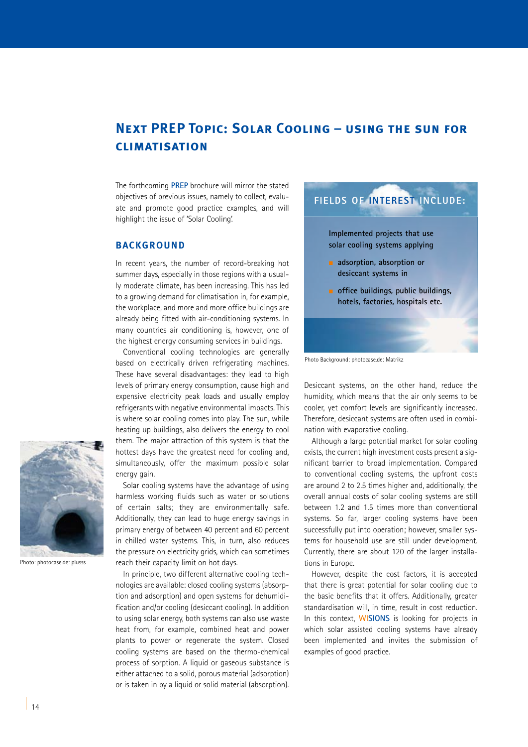# **Next PREP Topic: Solar Cooling – using the sun for climatisation**

The forthcoming **PREP** brochure will mirror the stated objectives of previous issues, namely to collect, evaluate and promote good practice examples, and will highlight the issue of 'Solar Cooling'.

### **BACKGROUND**

In recent years, the number of record-breaking hot summer days, especially in those regions with a usually moderate climate, has been increasing. This has led to a growing demand for climatisation in, for example, the workplace, and more and more office buildings are already being fitted with air-conditioning systems. In many countries air conditioning is, however, one of the highest energy consuming services in buildings.

Conventional cooling technologies are generally based on electrically driven refrigerating machines. These have several disadvantages: they lead to high levels of primary energy consumption, cause high and expensive electricity peak loads and usually employ refrigerants with negative environmental impacts. This is where solar cooling comes into play. The sun, while heating up buildings, also delivers the energy to cool them. The major attraction of this system is that the hottest days have the greatest need for cooling and, simultaneously, offer the maximum possible solar energy gain.

Solar cooling systems have the advantage of using harmless working fluids such as water or solutions of certain salts; they are environmentally safe. Additionally, they can lead to huge energy savings in primary energy of between 40 percent and 60 percent in chilled water systems. This, in turn, also reduces the pressure on electricity grids, which can sometimes reach their capacity limit on hot days.

In principle, two different alternative cooling technologies are available: closed cooling systems (absorption and adsorption) and open systems for dehumidification and/or cooling (desiccant cooling). In addition to using solar energy, both systems can also use waste heat from, for example, combined heat and power plants to power or regenerate the system. Closed cooling systems are based on the thermo-chemical process of sorption. A liquid or gaseous substance is either attached to a solid, porous material (adsorption) or is taken in by a liquid or solid material (absorption).

![](_page_13_Picture_7.jpeg)

Photo Background: photocase.de: Matrikz

Desiccant systems, on the other hand, reduce the humidity, which means that the air only seems to be cooler, yet comfort levels are significantly increased. Therefore, desiccant systems are often used in combination with evaporative cooling.

Although a large potential market for solar cooling exists, the current high investment costs present a significant barrier to broad implementation. Compared to conventional cooling systems, the upfront costs are around 2 to 2.5 times higher and, additionally, the overall annual costs of solar cooling systems are still between 1.2 and 1.5 times more than conventional systems. So far, larger cooling systems have been successfully put into operation; however, smaller systems for household use are still under development. Currently, there are about 120 of the larger installations in Europe.

However, despite the cost factors, it is accepted that there is great potential for solar cooling due to the basic benefits that it offers. Additionally, greater standardisation will, in time, result in cost reduction. In this context, **WISIONS** is looking for projects in which solar assisted cooling systems have already been implemented and invites the submission of examples of good practice.

![](_page_13_Picture_12.jpeg)

Photo: photocase.de: plusss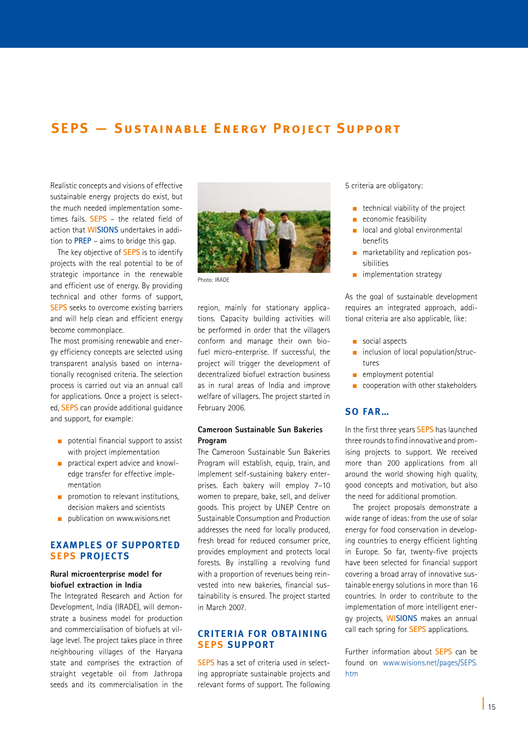# **SEPS — Sustainable Energy Project Support**

Realistic concepts and visions of effective sustainable energy projects do exist, but the much needed implementation sometimes fails. **SEPS** – the related field of action that **WISIONS** undertakes in addition to **PREP** – aims to bridge this gap.

The key objective of **SEPS** is to identify projects with the real potential to be of strategic importance in the renewable and efficient use of energy. By providing technical and other forms of support, **SEPS** seeks to overcome existing barriers and will help clean and efficient energy become commonplace.

The most promising renewable and energy efficiency concepts are selected using transparent analysis based on internationally recognised criteria. The selection process is carried out via an annual call for applications. Once a project is selected, **SEPS** can provide additional guidance and support, for example:

- n potential financial support to assist with project implementation
- $\blacksquare$  practical expert advice and knowledge transfer for effective implementation
- n promotion to relevant institutions. decision makers and scientists
- publication on www.wisions.net

# **Ex amples of supported SEPS projectS**

### **Rural microenterprise model for biofuel extraction in India**

The Integrated Research and Action for Development, India (IRADE), will demonstrate a business model for production and commercialisation of biofuels at village level. The project takes place in three neighbouring villages of the Haryana state and comprises the extraction of straight vegetable oil from Jathropa seeds and its commercialisation in the

![](_page_14_Picture_11.jpeg)

Photo: IRADE

region, mainly for stationary applications. Capacity building activities will be performed in order that the villagers conform and manage their own biofuel micro-enterprise. If successful, the project will trigger the development of decentralized biofuel extraction business as in rural areas of India and improve welfare of villagers. The project started in February 2006.

# **Cameroon Sustainable Sun Bakeries Program**

The Cameroon Sustainable Sun Bakeries Program will establish, equip, train, and implement self-sustaining bakery enterprises. Each bakery will employ 7–10 women to prepare, bake, sell, and deliver goods. This project by UNEP Centre on Sustainable Consumption and Production addresses the need for locally produced, fresh bread for reduced consumer price, provides employment and protects local forests. By installing a revolving fund with a proportion of revenues being reinvested into new bakeries, financial sustainability is ensured. The project started in March 2007.

### **Criteria for obtaining SEPS support**

**SEPS** has a set of criteria used in selecting appropriate sustainable projects and relevant forms of support. The following 5 criteria are obligatory:

- $\blacksquare$  technical viability of the project
- economic feasibility
- n local and global environmental benefits
- $n$  marketability and replication possibilities
- $\blacksquare$  implementation strategy

As the goal of sustainable development requires an integrated approach, additional criteria are also applicable, like:

- $\Box$  social aspects
- $\blacksquare$  inclusion of local population/structures
- $\blacksquare$  employment potential
- $\Box$  cooperation with other stakeholders

# **So far…**

In the first three years **SEPS** has launched three rounds to find innovative and promising projects to support. We received more than 200 applications from all around the world showing high quality, good concepts and motivation, but also the need for additional promotion.

The project proposals demonstrate a wide range of ideas: from the use of solar energy for food conservation in developing countries to energy efficient lighting in Europe. So far, twenty-five projects have been selected for financial support covering a broad array of innovative sustainable energy solutions in more than 16 countries. In order to contribute to the implementation of more intelligent energy projects, **WISIONS** makes an annual call each spring for **SEPS** applications.

Further information about **SEPS** can be found on www.wisions.net/pages/SEPS. htm